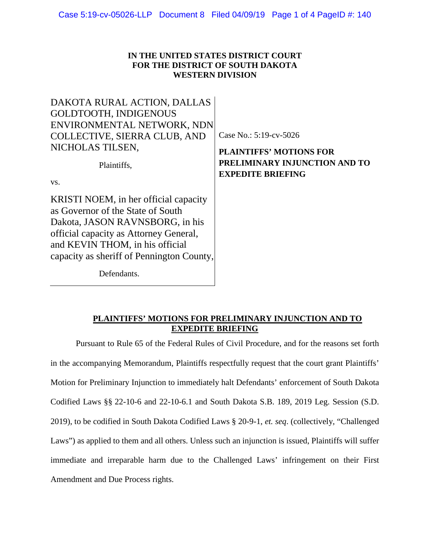## **IN THE UNITED STATES DISTRICT COURT FOR THE DISTRICT OF SOUTH DAKOTA WESTERN DIVISION**

| DAKOTA RURAL ACTION, DALLAS               |                                |
|-------------------------------------------|--------------------------------|
| GOLDTOOTH, INDIGENOUS                     |                                |
| ENVIRONMENTAL NETWORK, NDN                |                                |
| COLLECTIVE, SIERRA CLUB, AND              | Case No.: 5:19-cv-5026         |
| NICHOLAS TILSEN.                          | <b>PLAINTIFFS' MOTIONS FOR</b> |
| Plaintiffs,                               | PRELIMINARY INJUNCTION AND TO  |
| VS.                                       | <b>EXPEDITE BRIEFING</b>       |
|                                           |                                |
| KRISTI NOEM, in her official capacity     |                                |
| as Governor of the State of South         |                                |
| Dakota, JASON RAVNSBORG, in his           |                                |
| official capacity as Attorney General,    |                                |
| and KEVIN THOM, in his official           |                                |
| capacity as sheriff of Pennington County, |                                |
| Defendants.                               |                                |

# **PLAINTIFFS' MOTIONS FOR PRELIMINARY INJUNCTION AND TO EXPEDITE BRIEFING**

Pursuant to Rule 65 of the Federal Rules of Civil Procedure, and for the reasons set forth in the accompanying Memorandum, Plaintiffs respectfully request that the court grant Plaintiffs' Motion for Preliminary Injunction to immediately halt Defendants' enforcement of South Dakota Codified Laws §§ 22-10-6 and 22-10-6.1 and South Dakota S.B. 189, 2019 Leg. Session (S.D. 2019), to be codified in South Dakota Codified Laws § 20-9-1, *et. seq*. (collectively, "Challenged Laws") as applied to them and all others. Unless such an injunction is issued, Plaintiffs will suffer immediate and irreparable harm due to the Challenged Laws' infringement on their First Amendment and Due Process rights.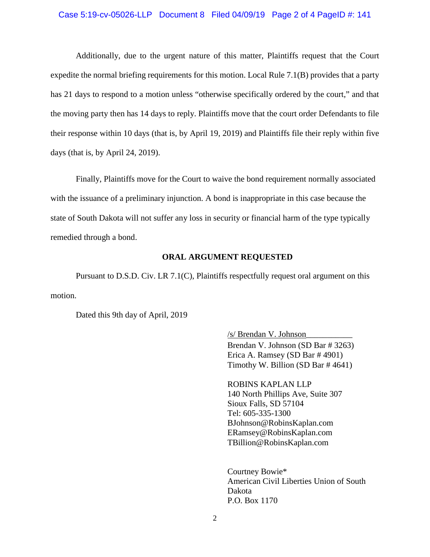#### Case 5:19-cv-05026-LLP Document 8 Filed 04/09/19 Page 2 of 4 PageID #: 141

Additionally, due to the urgent nature of this matter, Plaintiffs request that the Court expedite the normal briefing requirements for this motion. Local Rule 7.1(B) provides that a party has 21 days to respond to a motion unless "otherwise specifically ordered by the court," and that the moving party then has 14 days to reply. Plaintiffs move that the court order Defendants to file their response within 10 days (that is, by April 19, 2019) and Plaintiffs file their reply within five days (that is, by April 24, 2019).

Finally, Plaintiffs move for the Court to waive the bond requirement normally associated with the issuance of a preliminary injunction. A bond is inappropriate in this case because the state of South Dakota will not suffer any loss in security or financial harm of the type typically remedied through a bond.

### **ORAL ARGUMENT REQUESTED**

Pursuant to D.S.D. Civ. LR 7.1(C), Plaintiffs respectfully request oral argument on this motion.

Dated this 9th day of April, 2019

/s/ Brendan V. Johnson\_\_\_\_\_\_\_\_\_\_\_ Brendan V. Johnson (SD Bar # 3263) Erica A. Ramsey (SD Bar # 4901) Timothy W. Billion (SD Bar # 4641)

ROBINS KAPLAN LLP 140 North Phillips Ave, Suite 307 Sioux Falls, SD 57104 Tel: 605-335-1300 [BJohnson@RobinsKaplan.com](mailto:BJohnson@RobinsKaplan.com) ERamsey@RobinsKaplan.com [TBillion@RobinsKaplan.com](mailto:TBillion@RobinsKaplan.com)

Courtney Bowie\* American Civil Liberties Union of South Dakota P.O. Box 1170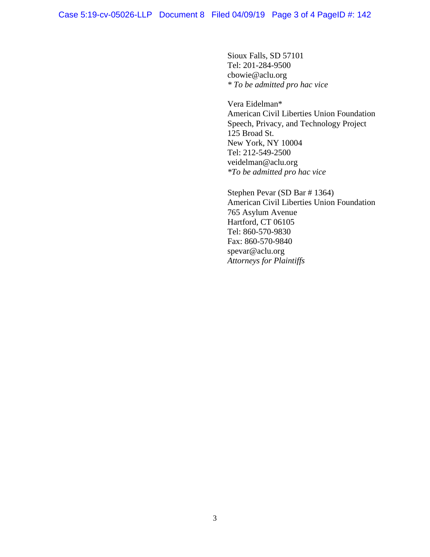Sioux Falls, SD 57101 Tel: 201-284-9500 cbowie@aclu.org *\* To be admitted pro hac vice*

Vera Eidelman\* American Civil Liberties Union Foundation Speech, Privacy, and Technology Project 125 Broad St. New York, NY 10004 Tel: 212-549-2500 veidelman@aclu.org *\*To be admitted pro hac vice*

Stephen Pevar (SD Bar # 1364) American Civil Liberties Union Foundation 765 Asylum Avenue Hartford, CT 06105 Tel: 860-570-9830 Fax: 860-570-9840 spevar@aclu.org *Attorneys for Plaintiffs*